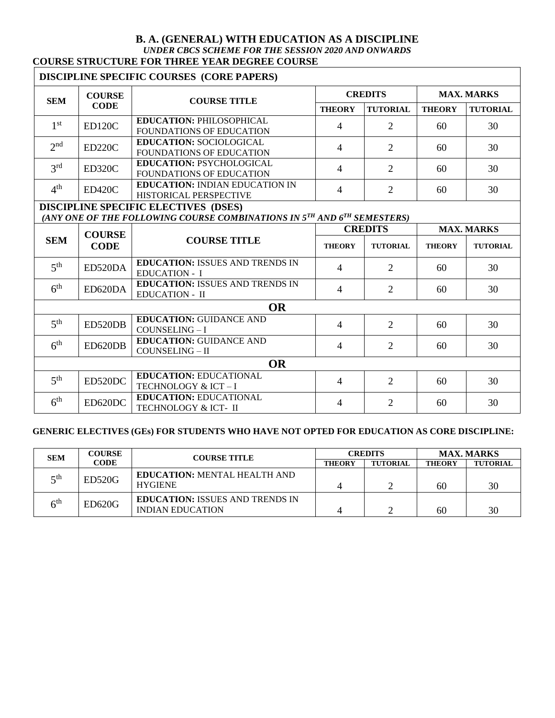#### **B. A. (GENERAL) WITH EDUCATION AS A DISCIPLINE** *UNDER CBCS SCHEME FOR THE SESSION 2020 AND ONWARDS* **COURSE STRUCTURE FOR THREE YEAR DEGREE COURSE**

## **DISCIPLINE SPECIFIC COURSES (CORE PAPERS)**

| <b>SEM</b>      | <b>COURSE</b><br><b>CODE</b> | <b>COURSE TITLE</b>                                                    | <b>CREDITS</b> |                 | <b>MAX. MARKS</b> |                 |
|-----------------|------------------------------|------------------------------------------------------------------------|----------------|-----------------|-------------------|-----------------|
|                 |                              |                                                                        | <b>THEORY</b>  | <b>TUTORIAL</b> | <b>THEORY</b>     | <b>TUTORIAL</b> |
| 1 st            | <b>ED120C</b>                | <b>EDUCATION: PHILOSOPHICAL</b><br><b>FOUNDATIONS OF EDUCATION</b>     | 4              |                 | 60                | 30              |
| 2 <sub>nd</sub> | ED220C                       | <b>EDUCATION: SOCIOLOGICAL</b><br><b>FOUNDATIONS OF EDUCATION</b>      | 4              | ∍               | 60                | 30              |
| 3 <sup>rd</sup> | ED320C                       | <b>EDUCATION: PSYCHOLOGICAL</b><br><b>FOUNDATIONS OF EDUCATION</b>     | $\overline{4}$ | ∍               | 60                | 30              |
| $4^{\rm th}$    | <b>ED420C</b>                | <b>EDUCATION: INDIAN EDUCATION IN</b><br><b>HISTORICAL PERSPECTIVE</b> | 4              |                 | 60                | 30              |

## **DISCIPLINE SPECIFIC ELECTIVES (DSES)**

# *(ANY ONE OF THE FOLLOWING COURSE COMBINATIONS IN 5TH AND 6TH SEMESTERS)*

| <b>SEM</b>      | <b>COURSE</b><br><b>CODE</b> | <b>COURSE TITLE</b>                                             | <b>CREDITS</b> |                             | <b>MAX. MARKS</b> |                 |  |
|-----------------|------------------------------|-----------------------------------------------------------------|----------------|-----------------------------|-------------------|-----------------|--|
|                 |                              |                                                                 | <b>THEORY</b>  | <b>TUTORIAL</b>             | <b>THEORY</b>     | <b>TUTORIAL</b> |  |
| 5 <sup>th</sup> | ED520DA                      | <b>EDUCATION: ISSUES AND TRENDS IN</b><br><b>EDUCATION - I</b>  | $\overline{4}$ | $\overline{2}$              | 60                | 30              |  |
| 6 <sup>th</sup> | ED620DA                      | <b>EDUCATION: ISSUES AND TRENDS IN</b><br><b>EDUCATION - II</b> | $\overline{4}$ | $\overline{2}$              | 60                | 30              |  |
| <b>OR</b>       |                              |                                                                 |                |                             |                   |                 |  |
| 5 <sup>th</sup> | ED520DB                      | <b>EDUCATION: GUIDANCE AND</b><br>COUNSELING - I                | 4              | $\overline{2}$              | 60                | 30              |  |
| 6 <sup>th</sup> | ED620DB                      | <b>EDUCATION: GUIDANCE AND</b><br>COUNSELING - II               | $\overline{4}$ | $\overline{2}$              | 60                | 30              |  |
| <b>OR</b>       |                              |                                                                 |                |                             |                   |                 |  |
| 5 <sup>th</sup> | ED520DC                      | <b>EDUCATION: EDUCATIONAL</b><br>TECHNOLOGY & ICT-I             | 4              | $\overline{2}$              | 60                | 30              |  |
| 6 <sup>th</sup> | ED620DC                      | <b>EDUCATION: EDUCATIONAL</b><br>TECHNOLOGY & ICT-II            | 4              | $\mathcal{D}_{\mathcal{L}}$ | 60                | 30              |  |

## **GENERIC ELECTIVES (GEs) FOR STUDENTS WHO HAVE NOT OPTED FOR EDUCATION AS CORE DISCIPLINE:**

| <b>SEM</b>      | <b>COURSE</b><br><b>CODE</b> | <b>COURSE TITLE</b>                    | <b>CREDITS</b> |                 | <b>MAX. MARKS</b> |                 |
|-----------------|------------------------------|----------------------------------------|----------------|-----------------|-------------------|-----------------|
|                 |                              |                                        | <b>THEORY</b>  | <b>TUTORIAL</b> | <b>THEORY</b>     | <b>TUTORIAL</b> |
| $\leq$ th       | <b>ED520G</b>                | <b>EDUCATION: MENTAL HEALTH AND</b>    |                |                 |                   |                 |
|                 |                              | <b>HYGIENE</b>                         |                |                 | 60                | 30              |
| 6 <sup>th</sup> | ED620G                       | <b>EDUCATION: ISSUES AND TRENDS IN</b> |                |                 |                   |                 |
|                 |                              | <b>INDIAN EDUCATION</b>                |                |                 | 60                | 30              |